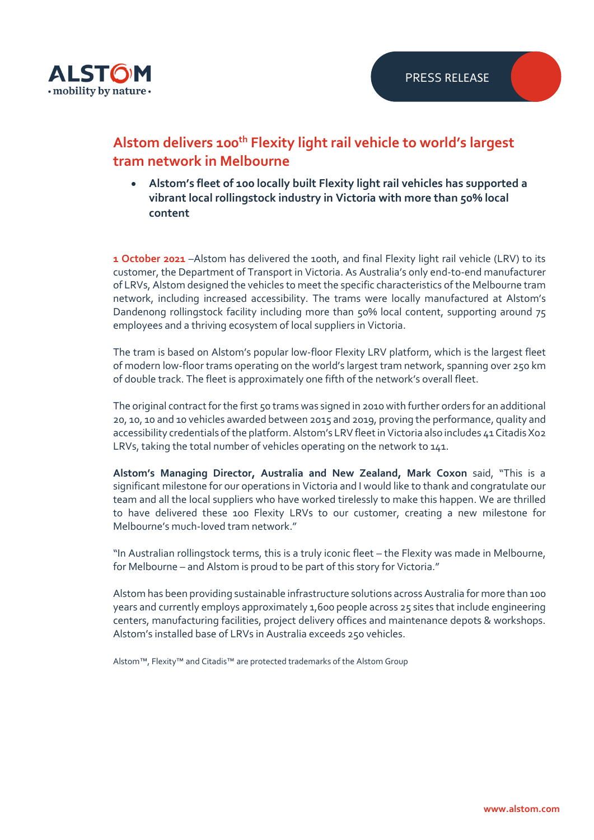

## **Alstom delivers 100th Flexity light rail vehicle to world's largest tram network in Melbourne**

• **Alstom's fleet of 100 locally built Flexity light rail vehicles has supported a vibrant local rollingstock industry in Victoria with more than 50% local content**

**1 October 2021** –Alstom has delivered the 100th, and final Flexity light rail vehicle (LRV) to its customer, the Department of Transport in Victoria. As Australia's only end-to-end manufacturer of LRVs, Alstom designed the vehicles to meet the specific characteristics of the Melbourne tram network, including increased accessibility. The trams were locally manufactured at Alstom's Dandenong rollingstock facility including more than 50% local content, supporting around 75 employees and a thriving ecosystem of local suppliers in Victoria.

The tram is based on Alstom's popular low-floor Flexity LRV platform, which is the largest fleet of modern low-floor trams operating on the world's largest tram network, spanning over 250 km of double track. The fleet is approximately one fifth of the network's overall fleet.

The original contract for the first 50 trams was signed in 2010 with further orders for an additional 20, 10, 10 and 10 vehicles awarded between 2015 and 2019, proving the performance, quality and accessibility credentials of the platform. Alstom's LRV fleet in Victoria also includes 41 Citadis X02 LRVs, taking the total number of vehicles operating on the network to 141.

**Alstom's Managing Director, Australia and New Zealand, Mark Coxon** said, "This is a significant milestone for our operations in Victoria and I would like to thank and congratulate our team and all the local suppliers who have worked tirelessly to make this happen. We are thrilled to have delivered these 100 Flexity LRVs to our customer, creating a new milestone for Melbourne's much-loved tram network."

"In Australian rollingstock terms, this is a truly iconic fleet – the Flexity was made in Melbourne, for Melbourne – and Alstom is proud to be part of this story for Victoria."

Alstom has been providing sustainable infrastructure solutions across Australia for more than 100 years and currently employs approximately 1,600 people across 25 sites that include engineering centers, manufacturing facilities, project delivery offices and maintenance depots & workshops. Alstom's installed base of LRVs in Australia exceeds 250 vehicles.

Alstom™, Flexity™ and Citadis™ are protected trademarks of the Alstom Group